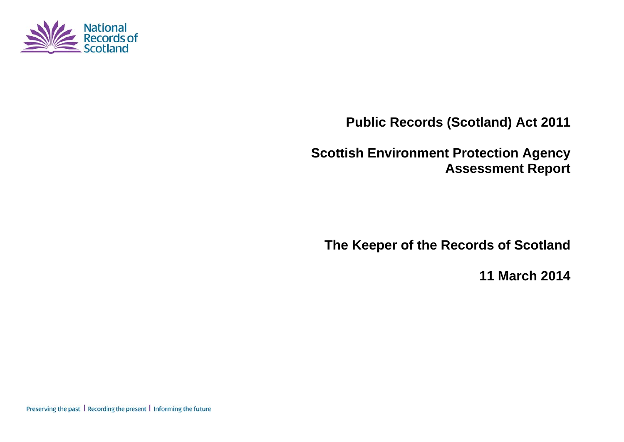

**Public Records (Scotland) Act 2011** 

**Scottish Environment Protection Agency Assessment Report** 

**The Keeper of the Records of Scotland** 

**11 March 2014**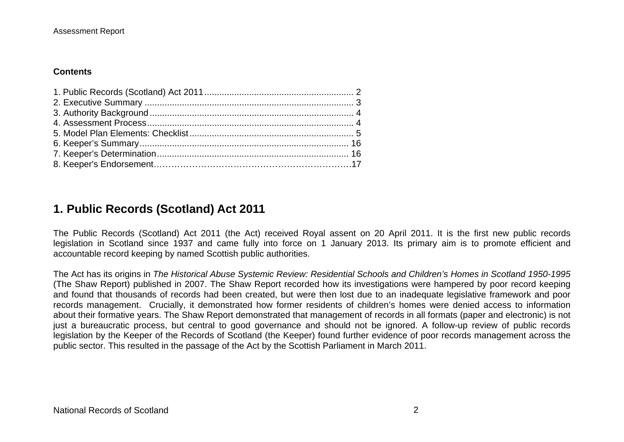#### **Contents**

## **1. Public Records (Scotland) Act 2011**

The Public Records (Scotland) Act 2011 (the Act) received Royal assent on 20 April 2011. It is the first new public records legislation in Scotland since 1937 and came fully into force on 1 January 2013. Its primary aim is to promote efficient and accountable record keeping by named Scottish public authorities.

The Act has its origins in *The Historical Abuse Systemic Review: Residential Schools and Children's Homes in Scotland 1950-1995* (The Shaw Report) published in 2007. The Shaw Report recorded how its investigations were hampered by poor record keeping and found that thousands of records had been created, but were then lost due to an inadequate legislative framework and poor records management. Crucially, it demonstrated how former residents of children's homes were denied access to information about their formative years. The Shaw Report demonstrated that management of records in all formats (paper and electronic) is not just a bureaucratic process, but central to good governance and should not be ignored. A follow-up review of public records legislation by the Keeper of the Records of Scotland (the Keeper) found further evidence of poor records management across the public sector. This resulted in the passage of the Act by the Scottish Parliament in March 2011.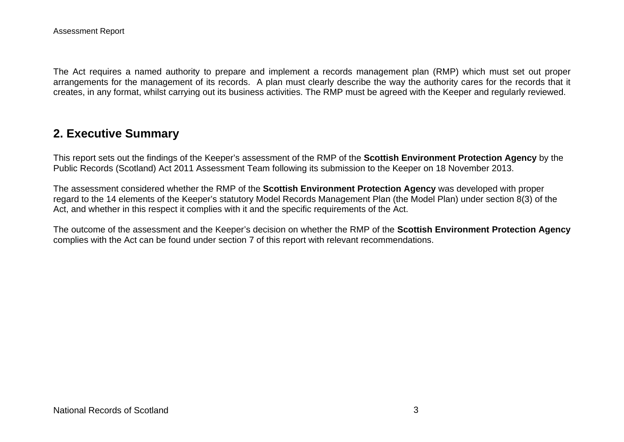The Act requires a named authority to prepare and implement a records management plan (RMP) which must set out proper arrangements for the management of its records. A plan must clearly describe the way the authority cares for the records that it creates, in any format, whilst carrying out its business activities. The RMP must be agreed with the Keeper and regularly reviewed.

## **2. Executive Summary**

This report sets out the findings of the Keeper's assessment of the RMP of the **Scottish Environment Protection Agency** by the Public Records (Scotland) Act 2011 Assessment Team following its submission to the Keeper on 18 November 2013.

The assessment considered whether the RMP of the **Scottish Environment Protection Agency** was developed with proper regard to the 14 elements of the Keeper's statutory Model Records Management Plan (the Model Plan) under section 8(3) of the Act, and whether in this respect it complies with it and the specific requirements of the Act.

The outcome of the assessment and the Keeper's decision on whether the RMP of the **Scottish Environment Protection Agency**  complies with the Act can be found under section 7 of this report with relevant recommendations.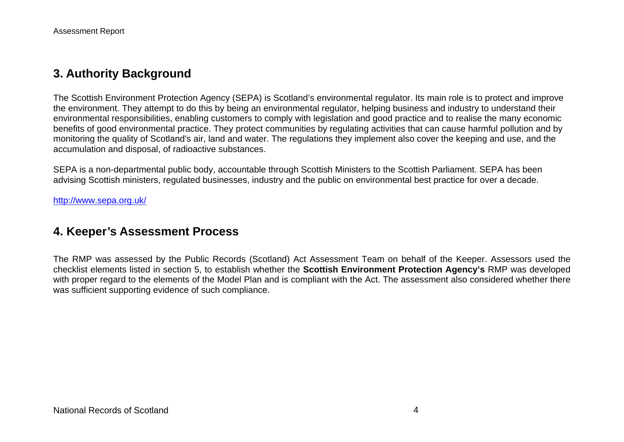## **3. Authority Background**

The Scottish Environment Protection Agency (SEPA) is Scotland's environmental regulator. Its main role is to protect and improve the environment. They attempt to do this by being an environmental regulator, helping business and industry to understand their environmental responsibilities, enabling customers to comply with legislation and good practice and to realise the many economic benefits of good environmental practice. They protect communities by regulating activities that can cause harmful pollution and by monitoring the quality of Scotland's air, land and water. The regulations they implement also cover the keeping and use, and the accumulation and disposal, of radioactive substances.

SEPA is a non-departmental public body, accountable through Scottish Ministers to the Scottish Parliament. SEPA has been advising Scottish ministers, regulated businesses, industry and the public on environmental best practice for over a decade.

<http://www.sepa.org.uk/>

## **4. Keeper's Assessment Process**

The RMP was assessed by the Public Records (Scotland) Act Assessment Team on behalf of the Keeper. Assessors used the checklist elements listed in section 5, to establish whether the **Scottish Environment Protection Agency's** RMP was developed with proper regard to the elements of the Model Plan and is compliant with the Act. The assessment also considered whether there was sufficient supporting evidence of such compliance.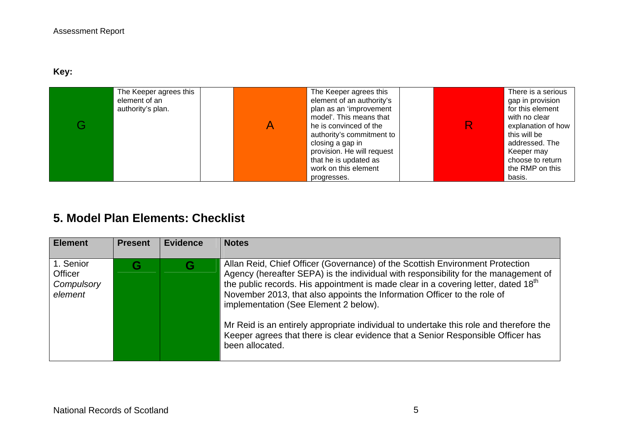**Key:** 

| The Keeper agrees this<br>element of an<br>authority's plan. | The Keeper agrees this<br>element of an authority's<br>plan as an 'improvement<br>model'. This means that<br>he is convinced of the<br>authority's commitment to<br>closing a gap in<br>provision. He will request<br>that he is updated as<br>work on this element | There is a serious<br>gap in provision<br>for this element<br>with no clear<br>explanation of how<br>this will be<br>addressed. The<br>Keeper may<br>choose to return<br>the RMP on this |
|--------------------------------------------------------------|---------------------------------------------------------------------------------------------------------------------------------------------------------------------------------------------------------------------------------------------------------------------|------------------------------------------------------------------------------------------------------------------------------------------------------------------------------------------|
|                                                              | progresses.                                                                                                                                                                                                                                                         | basis.                                                                                                                                                                                   |

# **5. Model Plan Elements: Checklist**

| <b>Element</b>                                       | <b>Present</b> | <b>Evidence</b> | <b>Notes</b>                                                                                                                                                                                                                                                                                                                                                                                                                                                                                                                                                                                 |
|------------------------------------------------------|----------------|-----------------|----------------------------------------------------------------------------------------------------------------------------------------------------------------------------------------------------------------------------------------------------------------------------------------------------------------------------------------------------------------------------------------------------------------------------------------------------------------------------------------------------------------------------------------------------------------------------------------------|
| 1. Senior<br><b>Officer</b><br>Compulsory<br>element |                | G               | Allan Reid, Chief Officer (Governance) of the Scottish Environment Protection<br>Agency (hereafter SEPA) is the individual with responsibility for the management of<br>the public records. His appointment is made clear in a covering letter, dated 18 <sup>th</sup><br>November 2013, that also appoints the Information Officer to the role of<br>implementation (See Element 2 below).<br>Mr Reid is an entirely appropriate individual to undertake this role and therefore the<br>Keeper agrees that there is clear evidence that a Senior Responsible Officer has<br>been allocated. |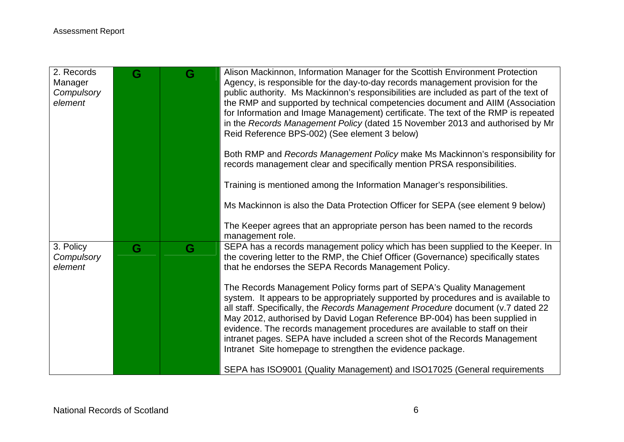| 2. Records<br>Manager<br>Compulsory<br>element | G | G | Alison Mackinnon, Information Manager for the Scottish Environment Protection<br>Agency, is responsible for the day-to-day records management provision for the<br>public authority. Ms Mackinnon's responsibilities are included as part of the text of<br>the RMP and supported by technical competencies document and AIIM (Association<br>for Information and Image Management) certificate. The text of the RMP is repeated<br>in the Records Management Policy (dated 15 November 2013 and authorised by Mr<br>Reid Reference BPS-002) (See element 3 below)<br>Both RMP and Records Management Policy make Ms Mackinnon's responsibility for<br>records management clear and specifically mention PRSA responsibilities. |
|------------------------------------------------|---|---|---------------------------------------------------------------------------------------------------------------------------------------------------------------------------------------------------------------------------------------------------------------------------------------------------------------------------------------------------------------------------------------------------------------------------------------------------------------------------------------------------------------------------------------------------------------------------------------------------------------------------------------------------------------------------------------------------------------------------------|
|                                                |   |   | Training is mentioned among the Information Manager's responsibilities.<br>Ms Mackinnon is also the Data Protection Officer for SEPA (see element 9 below)                                                                                                                                                                                                                                                                                                                                                                                                                                                                                                                                                                      |
|                                                |   |   | The Keeper agrees that an appropriate person has been named to the records<br>management role.                                                                                                                                                                                                                                                                                                                                                                                                                                                                                                                                                                                                                                  |
| 3. Policy<br>Compulsory<br>element             | G | G | SEPA has a records management policy which has been supplied to the Keeper. In<br>the covering letter to the RMP, the Chief Officer (Governance) specifically states<br>that he endorses the SEPA Records Management Policy.                                                                                                                                                                                                                                                                                                                                                                                                                                                                                                    |
|                                                |   |   | The Records Management Policy forms part of SEPA's Quality Management<br>system. It appears to be appropriately supported by procedures and is available to<br>all staff. Specifically, the Records Management Procedure document (v.7 dated 22<br>May 2012, authorised by David Logan Reference BP-004) has been supplied in<br>evidence. The records management procedures are available to staff on their<br>intranet pages. SEPA have included a screen shot of the Records Management<br>Intranet Site homepage to strengthen the evidence package.                                                                                                                                                                        |
|                                                |   |   | SEPA has ISO9001 (Quality Management) and ISO17025 (General requirements                                                                                                                                                                                                                                                                                                                                                                                                                                                                                                                                                                                                                                                        |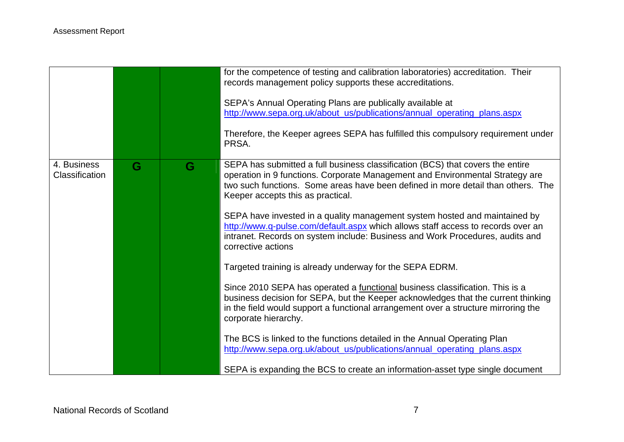|                               |   |   | for the competence of testing and calibration laboratories) accreditation. Their<br>records management policy supports these accreditations.<br>SEPA's Annual Operating Plans are publically available at<br>http://www.sepa.org.uk/about_us/publications/annual_operating_plans.aspx<br>Therefore, the Keeper agrees SEPA has fulfilled this compulsory requirement under |
|-------------------------------|---|---|----------------------------------------------------------------------------------------------------------------------------------------------------------------------------------------------------------------------------------------------------------------------------------------------------------------------------------------------------------------------------|
|                               |   |   | PRSA.                                                                                                                                                                                                                                                                                                                                                                      |
| 4. Business<br>Classification | G | G | SEPA has submitted a full business classification (BCS) that covers the entire<br>operation in 9 functions. Corporate Management and Environmental Strategy are<br>two such functions. Some areas have been defined in more detail than others. The<br>Keeper accepts this as practical.                                                                                   |
|                               |   |   | SEPA have invested in a quality management system hosted and maintained by<br>http://www.q-pulse.com/default.aspx which allows staff access to records over an<br>intranet. Records on system include: Business and Work Procedures, audits and<br>corrective actions                                                                                                      |
|                               |   |   | Targeted training is already underway for the SEPA EDRM.                                                                                                                                                                                                                                                                                                                   |
|                               |   |   | Since 2010 SEPA has operated a functional business classification. This is a<br>business decision for SEPA, but the Keeper acknowledges that the current thinking<br>in the field would support a functional arrangement over a structure mirroring the<br>corporate hierarchy.                                                                                            |
|                               |   |   | The BCS is linked to the functions detailed in the Annual Operating Plan<br>http://www.sepa.org.uk/about_us/publications/annual_operating_plans.aspx                                                                                                                                                                                                                       |
|                               |   |   | SEPA is expanding the BCS to create an information-asset type single document                                                                                                                                                                                                                                                                                              |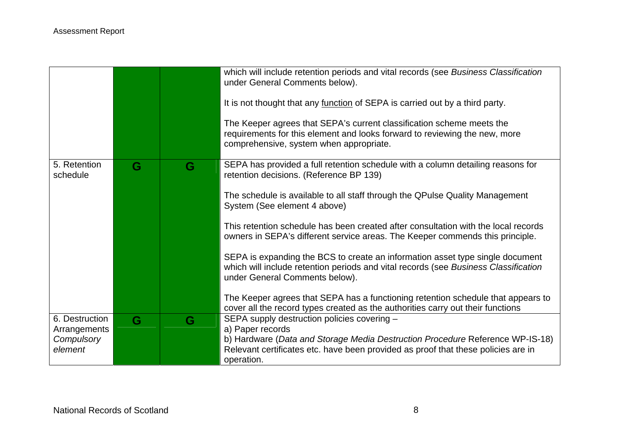|                            |   |   | which will include retention periods and vital records (see Business Classification<br>under General Comments below).                                                                                  |
|----------------------------|---|---|--------------------------------------------------------------------------------------------------------------------------------------------------------------------------------------------------------|
|                            |   |   | It is not thought that any function of SEPA is carried out by a third party.                                                                                                                           |
|                            |   |   | The Keeper agrees that SEPA's current classification scheme meets the<br>requirements for this element and looks forward to reviewing the new, more<br>comprehensive, system when appropriate.         |
| 5. Retention<br>schedule   | G | G | SEPA has provided a full retention schedule with a column detailing reasons for<br>retention decisions. (Reference BP 139)                                                                             |
|                            |   |   | The schedule is available to all staff through the QPulse Quality Management<br>System (See element 4 above)                                                                                           |
|                            |   |   | This retention schedule has been created after consultation with the local records<br>owners in SEPA's different service areas. The Keeper commends this principle.                                    |
|                            |   |   | SEPA is expanding the BCS to create an information asset type single document<br>which will include retention periods and vital records (see Business Classification<br>under General Comments below). |
|                            |   |   | The Keeper agrees that SEPA has a functioning retention schedule that appears to<br>cover all the record types created as the authorities carry out their functions                                    |
| 6. Destruction             | G | G | SEPA supply destruction policies covering -                                                                                                                                                            |
| Arrangements<br>Compulsory |   |   | a) Paper records<br>b) Hardware (Data and Storage Media Destruction Procedure Reference WP-IS-18)                                                                                                      |
| element                    |   |   | Relevant certificates etc. have been provided as proof that these policies are in<br>operation.                                                                                                        |
|                            |   |   |                                                                                                                                                                                                        |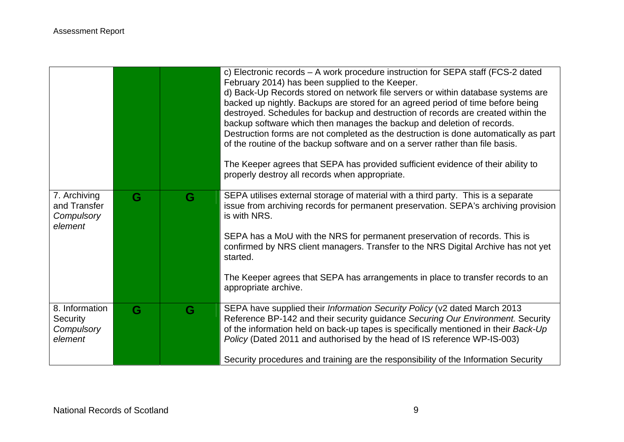|                                                       |   |   | c) Electronic records - A work procedure instruction for SEPA staff (FCS-2 dated<br>February 2014) has been supplied to the Keeper.<br>d) Back-Up Records stored on network file servers or within database systems are<br>backed up nightly. Backups are stored for an agreed period of time before being<br>destroyed. Schedules for backup and destruction of records are created within the<br>backup software which then manages the backup and deletion of records.<br>Destruction forms are not completed as the destruction is done automatically as part<br>of the routine of the backup software and on a server rather than file basis.<br>The Keeper agrees that SEPA has provided sufficient evidence of their ability to<br>properly destroy all records when appropriate. |
|-------------------------------------------------------|---|---|------------------------------------------------------------------------------------------------------------------------------------------------------------------------------------------------------------------------------------------------------------------------------------------------------------------------------------------------------------------------------------------------------------------------------------------------------------------------------------------------------------------------------------------------------------------------------------------------------------------------------------------------------------------------------------------------------------------------------------------------------------------------------------------|
| 7. Archiving<br>and Transfer<br>Compulsory<br>element | G | G | SEPA utilises external storage of material with a third party. This is a separate<br>issue from archiving records for permanent preservation. SEPA's archiving provision<br>is with NRS.<br>SEPA has a MoU with the NRS for permanent preservation of records. This is<br>confirmed by NRS client managers. Transfer to the NRS Digital Archive has not yet<br>started.<br>The Keeper agrees that SEPA has arrangements in place to transfer records to an<br>appropriate archive.                                                                                                                                                                                                                                                                                                       |
| 8. Information<br>Security<br>Compulsory<br>element   | G | G | SEPA have supplied their Information Security Policy (v2 dated March 2013<br>Reference BP-142 and their security guidance Securing Our Environment. Security<br>of the information held on back-up tapes is specifically mentioned in their Back-Up<br>Policy (Dated 2011 and authorised by the head of IS reference WP-IS-003)<br>Security procedures and training are the responsibility of the Information Security                                                                                                                                                                                                                                                                                                                                                                   |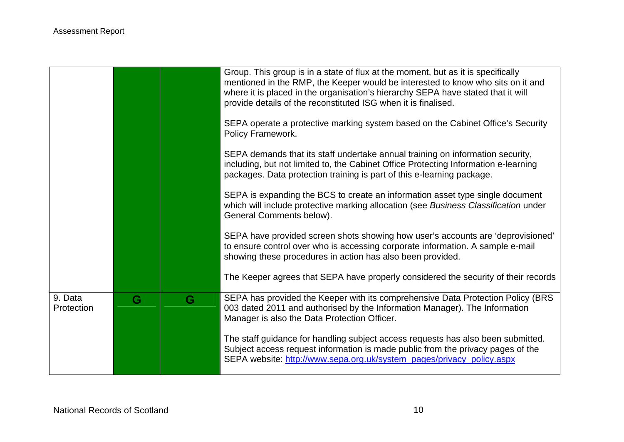|                       |   |   | Group. This group is in a state of flux at the moment, but as it is specifically<br>mentioned in the RMP, the Keeper would be interested to know who sits on it and<br>where it is placed in the organisation's hierarchy SEPA have stated that it will<br>provide details of the reconstituted ISG when it is finalised. |
|-----------------------|---|---|---------------------------------------------------------------------------------------------------------------------------------------------------------------------------------------------------------------------------------------------------------------------------------------------------------------------------|
|                       |   |   | SEPA operate a protective marking system based on the Cabinet Office's Security<br>Policy Framework.                                                                                                                                                                                                                      |
|                       |   |   | SEPA demands that its staff undertake annual training on information security,<br>including, but not limited to, the Cabinet Office Protecting Information e-learning<br>packages. Data protection training is part of this e-learning package.                                                                           |
|                       |   |   | SEPA is expanding the BCS to create an information asset type single document<br>which will include protective marking allocation (see Business Classification under<br>General Comments below).                                                                                                                          |
|                       |   |   | SEPA have provided screen shots showing how user's accounts are 'deprovisioned'<br>to ensure control over who is accessing corporate information. A sample e-mail<br>showing these procedures in action has also been provided.                                                                                           |
|                       |   |   | The Keeper agrees that SEPA have properly considered the security of their records                                                                                                                                                                                                                                        |
| 9. Data<br>Protection | G | G | SEPA has provided the Keeper with its comprehensive Data Protection Policy (BRS<br>003 dated 2011 and authorised by the Information Manager). The Information<br>Manager is also the Data Protection Officer.                                                                                                             |
|                       |   |   | The staff guidance for handling subject access requests has also been submitted.<br>Subject access request information is made public from the privacy pages of the<br>SEPA website: http://www.sepa.org.uk/system_pages/privacy_policy.aspx                                                                              |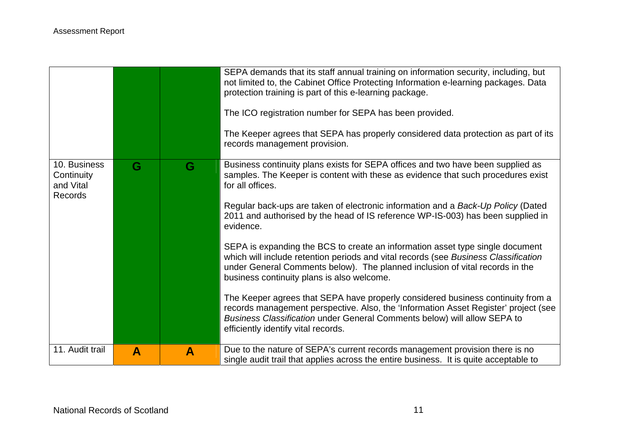|                                                    |   |              | SEPA demands that its staff annual training on information security, including, but<br>not limited to, the Cabinet Office Protecting Information e-learning packages. Data<br>protection training is part of this e-learning package.<br>The ICO registration number for SEPA has been provided.<br>The Keeper agrees that SEPA has properly considered data protection as part of its<br>records management provision. |
|----------------------------------------------------|---|--------------|-------------------------------------------------------------------------------------------------------------------------------------------------------------------------------------------------------------------------------------------------------------------------------------------------------------------------------------------------------------------------------------------------------------------------|
| 10. Business<br>Continuity<br>and Vital<br>Records | G | G            | Business continuity plans exists for SEPA offices and two have been supplied as<br>samples. The Keeper is content with these as evidence that such procedures exist<br>for all offices.<br>Regular back-ups are taken of electronic information and a Back-Up Policy (Dated<br>2011 and authorised by the head of IS reference WP-IS-003) has been supplied in<br>evidence.                                             |
|                                                    |   |              | SEPA is expanding the BCS to create an information asset type single document<br>which will include retention periods and vital records (see Business Classification<br>under General Comments below). The planned inclusion of vital records in the<br>business continuity plans is also welcome.                                                                                                                      |
|                                                    |   |              | The Keeper agrees that SEPA have properly considered business continuity from a<br>records management perspective. Also, the 'Information Asset Register' project (see<br>Business Classification under General Comments below) will allow SEPA to<br>efficiently identify vital records.                                                                                                                               |
| 11. Audit trail                                    | A | $\mathbf{A}$ | Due to the nature of SEPA's current records management provision there is no<br>single audit trail that applies across the entire business. It is quite acceptable to                                                                                                                                                                                                                                                   |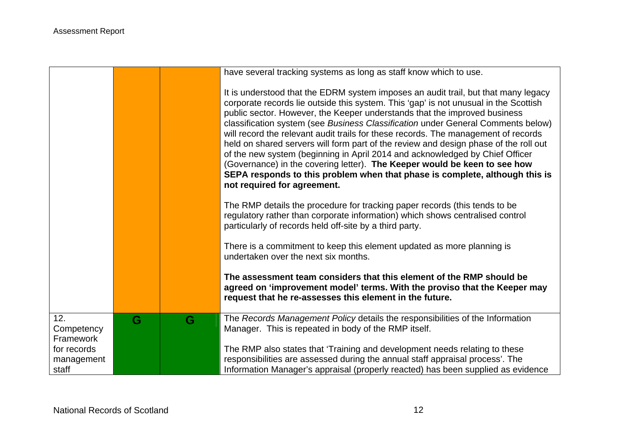|                                    |   |   | have several tracking systems as long as staff know which to use.                                                                                                                                                                                                                                                                                                                                                                                                                                                                                                                                                                                                                                                                                                                                    |
|------------------------------------|---|---|------------------------------------------------------------------------------------------------------------------------------------------------------------------------------------------------------------------------------------------------------------------------------------------------------------------------------------------------------------------------------------------------------------------------------------------------------------------------------------------------------------------------------------------------------------------------------------------------------------------------------------------------------------------------------------------------------------------------------------------------------------------------------------------------------|
|                                    |   |   |                                                                                                                                                                                                                                                                                                                                                                                                                                                                                                                                                                                                                                                                                                                                                                                                      |
|                                    |   |   | It is understood that the EDRM system imposes an audit trail, but that many legacy<br>corporate records lie outside this system. This 'gap' is not unusual in the Scottish<br>public sector. However, the Keeper understands that the improved business<br>classification system (see Business Classification under General Comments below)<br>will record the relevant audit trails for these records. The management of records<br>held on shared servers will form part of the review and design phase of the roll out<br>of the new system (beginning in April 2014 and acknowledged by Chief Officer<br>(Governance) in the covering letter). The Keeper would be keen to see how<br>SEPA responds to this problem when that phase is complete, although this is<br>not required for agreement. |
|                                    |   |   | The RMP details the procedure for tracking paper records (this tends to be<br>regulatory rather than corporate information) which shows centralised control<br>particularly of records held off-site by a third party.                                                                                                                                                                                                                                                                                                                                                                                                                                                                                                                                                                               |
|                                    |   |   | There is a commitment to keep this element updated as more planning is<br>undertaken over the next six months.                                                                                                                                                                                                                                                                                                                                                                                                                                                                                                                                                                                                                                                                                       |
|                                    |   |   | The assessment team considers that this element of the RMP should be<br>agreed on 'improvement model' terms. With the proviso that the Keeper may<br>request that he re-assesses this element in the future.                                                                                                                                                                                                                                                                                                                                                                                                                                                                                                                                                                                         |
| 12.<br>Competency<br>Framework     | G | G | The Records Management Policy details the responsibilities of the Information<br>Manager. This is repeated in body of the RMP itself.                                                                                                                                                                                                                                                                                                                                                                                                                                                                                                                                                                                                                                                                |
| for records<br>management<br>staff |   |   | The RMP also states that 'Training and development needs relating to these<br>responsibilities are assessed during the annual staff appraisal process'. The<br>Information Manager's appraisal (properly reacted) has been supplied as evidence                                                                                                                                                                                                                                                                                                                                                                                                                                                                                                                                                      |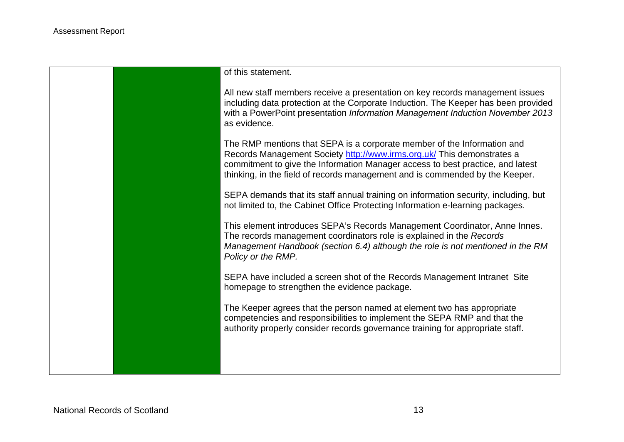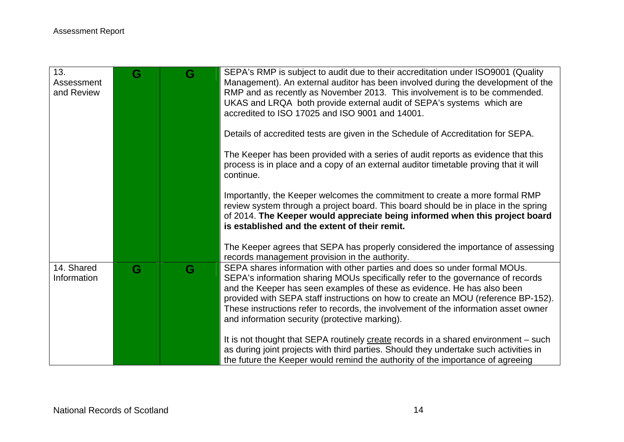| 13.<br>Assessment<br>and Review | G | G | SEPA's RMP is subject to audit due to their accreditation under ISO9001 (Quality<br>Management). An external auditor has been involved during the development of the<br>RMP and as recently as November 2013. This involvement is to be commended.<br>UKAS and LRQA both provide external audit of SEPA's systems which are<br>accredited to ISO 17025 and ISO 9001 and 14001.                                                                                        |
|---------------------------------|---|---|-----------------------------------------------------------------------------------------------------------------------------------------------------------------------------------------------------------------------------------------------------------------------------------------------------------------------------------------------------------------------------------------------------------------------------------------------------------------------|
|                                 |   |   | Details of accredited tests are given in the Schedule of Accreditation for SEPA.                                                                                                                                                                                                                                                                                                                                                                                      |
|                                 |   |   | The Keeper has been provided with a series of audit reports as evidence that this<br>process is in place and a copy of an external auditor timetable proving that it will<br>continue.                                                                                                                                                                                                                                                                                |
|                                 |   |   | Importantly, the Keeper welcomes the commitment to create a more formal RMP<br>review system through a project board. This board should be in place in the spring<br>of 2014. The Keeper would appreciate being informed when this project board<br>is established and the extent of their remit.                                                                                                                                                                     |
|                                 |   |   | The Keeper agrees that SEPA has properly considered the importance of assessing<br>records management provision in the authority.                                                                                                                                                                                                                                                                                                                                     |
| 14. Shared<br>Information       | G | G | SEPA shares information with other parties and does so under formal MOUs.<br>SEPA's information sharing MOUs specifically refer to the governance of records<br>and the Keeper has seen examples of these as evidence. He has also been<br>provided with SEPA staff instructions on how to create an MOU (reference BP-152).<br>These instructions refer to records, the involvement of the information asset owner<br>and information security (protective marking). |
|                                 |   |   | It is not thought that SEPA routinely create records in a shared environment – such<br>as during joint projects with third parties. Should they undertake such activities in<br>the future the Keeper would remind the authority of the importance of agreeing                                                                                                                                                                                                        |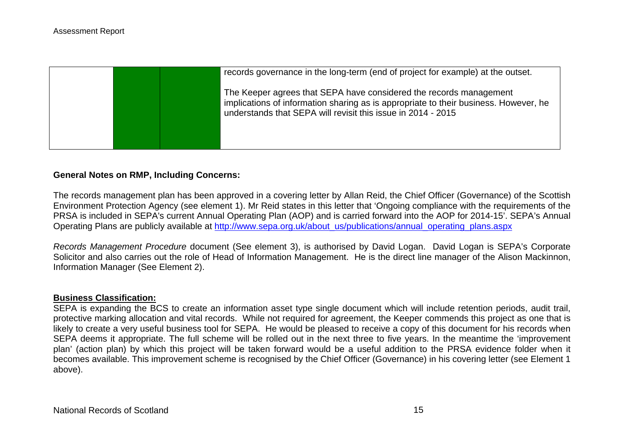|  | records governance in the long-term (end of project for example) at the outset.                                                                                                                                            |
|--|----------------------------------------------------------------------------------------------------------------------------------------------------------------------------------------------------------------------------|
|  | The Keeper agrees that SEPA have considered the records management<br>implications of information sharing as is appropriate to their business. However, he<br>understands that SEPA will revisit this issue in 2014 - 2015 |
|  |                                                                                                                                                                                                                            |

#### **General Notes on RMP, Including Concerns:**

The records management plan has been approved in a covering letter by Allan Reid, the Chief Officer (Governance) of the Scottish Environment Protection Agency (see element 1). Mr Reid states in this letter that 'Ongoing compliance with the requirements of the PRSA is included in SEPA's current Annual Operating Plan (AOP) and is carried forward into the AOP for 2014-15'. SEPA's Annual Operating Plans are publicly available at [http://www.sepa.org.uk/about\\_us/publications/annual\\_operating\\_plans.aspx](http://www.sepa.org.uk/about_us/publications/annual_operating_plans.aspx)

*Records Management Procedure* document (See element 3), is authorised by David Logan. David Logan is SEPA's Corporate Solicitor and also carries out the role of Head of Information Management. He is the direct line manager of the Alison Mackinnon, Information Manager (See Element 2).

#### **Business Classification:**

SEPA is expanding the BCS to create an information asset type single document which will include retention periods, audit trail, protective marking allocation and vital records. While not required for agreement, the Keeper commends this project as one that is likely to create a very useful business tool for SEPA. He would be pleased to receive a copy of this document for his records when SEPA deems it appropriate. The full scheme will be rolled out in the next three to five years. In the meantime the 'improvement plan' (action plan) by which this project will be taken forward would be a useful addition to the PRSA evidence folder when it becomes available. This improvement scheme is recognised by the Chief Officer (Governance) in his covering letter (see Element 1 above).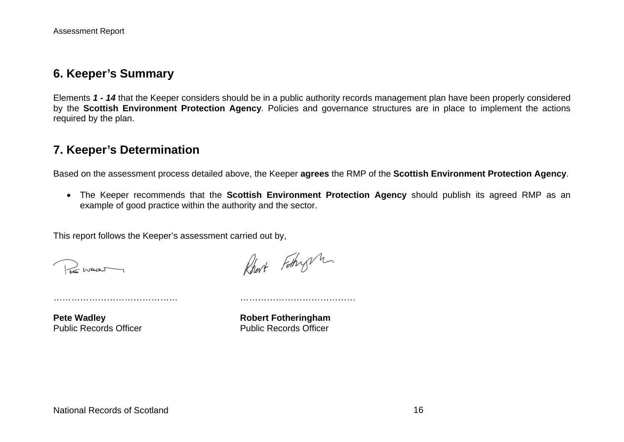### **6. Keeper's Summary**

Elements *1 - 14* that the Keeper considers should be in a public authority records management plan have been properly considered by the **Scottish Environment Protection Agency**. Policies and governance structures are in place to implement the actions required by the plan.

## **7. Keeper's Determination**

Based on the assessment process detailed above, the Keeper **agrees** the RMP of the **Scottish Environment Protection Agency**.

 The Keeper recommends that the **Scottish Environment Protection Agency** should publish its agreed RMP as an example of good practice within the authority and the sector.

This report follows the Keeper's assessment carried out by,

…………………………………… …………………………………

Remar

Robert Fathry M

**Pete Wadley Constraining Pete Wadley Constraining Robert Fothering ham** Public Records Officer **Public Records Officer**